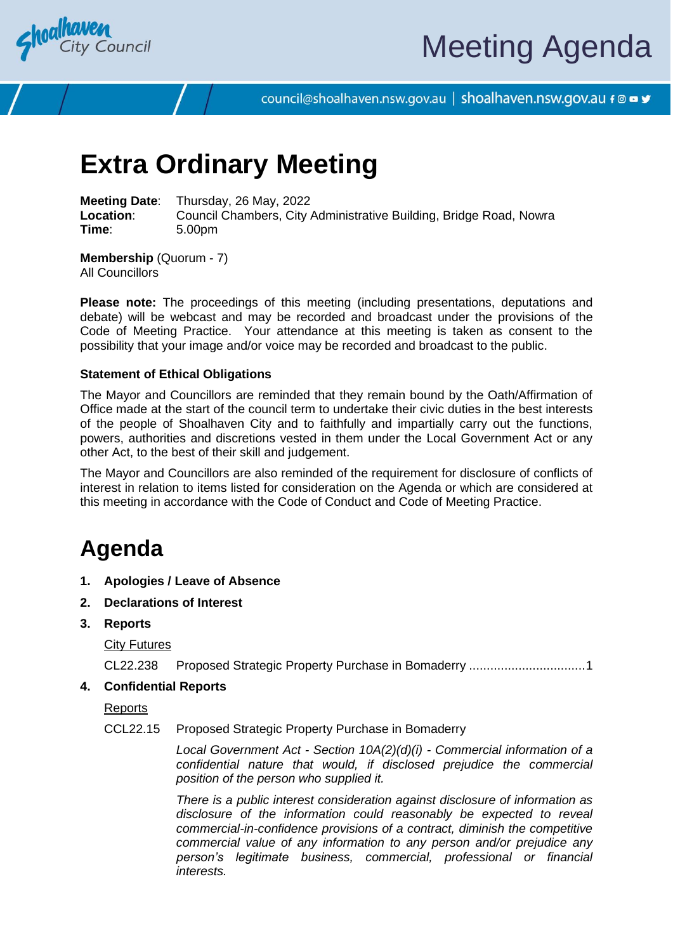

# Meeting Agenda

council@shoalhaven.nsw.gov.au | shoalhaven.nsw.gov.au f @ ■ y

## **Extra Ordinary Meeting**

**Meeting Date**: Thursday, 26 May, 2022 **Location:** Council Chambers, City Administrative Building, Bridge Road, Nowra<br>
Time: 5.00pm **Time**: 5.00pm

**Membership** (Quorum - 7) All Councillors

**Please note:** The proceedings of this meeting (including presentations, deputations and debate) will be webcast and may be recorded and broadcast under the provisions of the Code of Meeting Practice. Your attendance at this meeting is taken as consent to the possibility that your image and/or voice may be recorded and broadcast to the public.

#### **Statement of Ethical Obligations**

The Mayor and Councillors are reminded that they remain bound by the Oath/Affirmation of Office made at the start of the council term to undertake their civic duties in the best interests of the people of Shoalhaven City and to faithfully and impartially carry out the functions, powers, authorities and discretions vested in them under the Local Government Act or any other Act, to the best of their skill and judgement.

The Mayor and Councillors are also reminded of the requirement for disclosure of conflicts of interest in relation to items listed for consideration on the Agenda or which are considered at this meeting in accordance with the Code of Conduct and Code of Meeting Practice.

### **Agenda**

- **1. Apologies / Leave of Absence**
- **2. Declarations of Interest**
- **3. Reports**

**City Futures** 

CL22.238 Proposed Strategic Property Purchase in Bomaderry ................................[.1](#page-1-0)

**4. Confidential Reports**

Reports

#### CCL22.15 Proposed Strategic Property Purchase in Bomaderry

*Local Government Act - Section 10A(2)(d)(i) - Commercial information of a confidential nature that would, if disclosed prejudice the commercial position of the person who supplied it.*

*There is a public interest consideration against disclosure of information as disclosure of the information could reasonably be expected to reveal commercial-in-confidence provisions of a contract, diminish the competitive commercial value of any information to any person and/or prejudice any person's legitimate business, commercial, professional or financial interests.*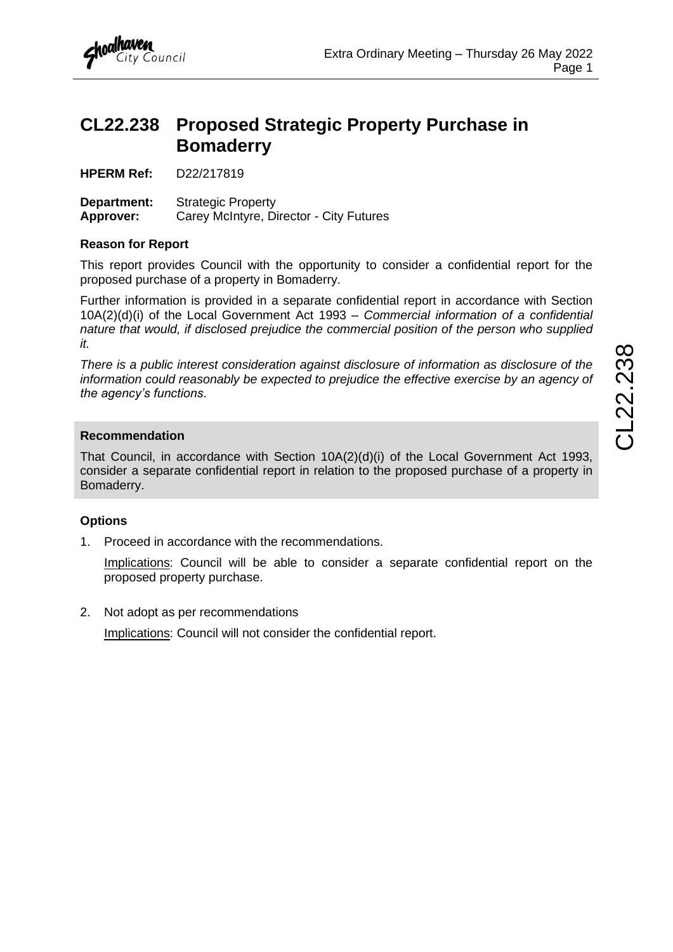

### <span id="page-1-0"></span>**CL22.238 Proposed Strategic Property Purchase in Bomaderry**

**HPERM Ref:** D22/217819

**Department:** Strategic Property **Approver:** Carey McIntyre, Director - City Futures

#### **Reason for Report**

This report provides Council with the opportunity to consider a confidential report for the proposed purchase of a property in Bomaderry.

Further information is provided in a separate confidential report in accordance with Section 10A(2)(d)(i) of the Local Government Act 1993 – *Commercial information of a confidential nature that would, if disclosed prejudice the commercial position of the person who supplied it.*

*There is a public interest consideration against disclosure of information as disclosure of the information could reasonably be expected to prejudice the effective exercise by an agency of the agency's functions*.

#### **Recommendation**

That Council, in accordance with Section 10A(2)(d)(i) of the Local Government Act 1993, consider a separate confidential report in relation to the proposed purchase of a property in Bomaderry.

#### **Options**

1. Proceed in accordance with the recommendations.

Implications: Council will be able to consider a separate confidential report on the proposed property purchase.

2. Not adopt as per recommendations

Implications: Council will not consider the confidential report.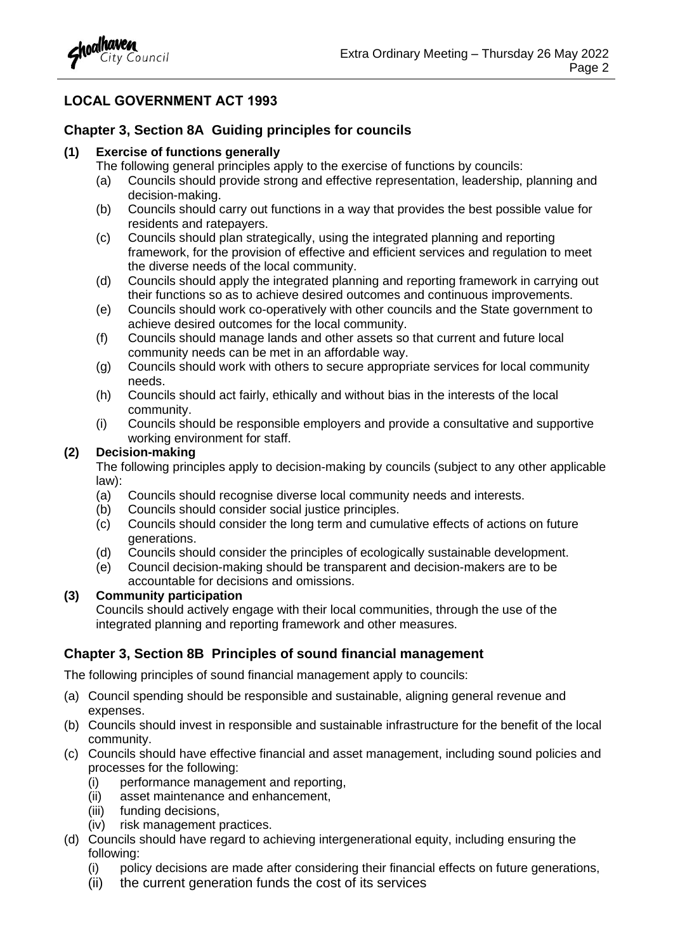

#### **LOCAL GOVERNMENT ACT 1993**

#### **Chapter 3, Section 8A Guiding principles for councils**

#### **(1) Exercise of functions generally**

- The following general principles apply to the exercise of functions by councils:
- (a) Councils should provide strong and effective representation, leadership, planning and decision-making.
- (b) Councils should carry out functions in a way that provides the best possible value for residents and ratepayers.
- (c) Councils should plan strategically, using the integrated planning and reporting framework, for the provision of effective and efficient services and regulation to meet the diverse needs of the local community.
- (d) Councils should apply the integrated planning and reporting framework in carrying out their functions so as to achieve desired outcomes and continuous improvements.
- (e) Councils should work co-operatively with other councils and the State government to achieve desired outcomes for the local community.
- (f) Councils should manage lands and other assets so that current and future local community needs can be met in an affordable way.
- (g) Councils should work with others to secure appropriate services for local community needs.
- (h) Councils should act fairly, ethically and without bias in the interests of the local community.
- (i) Councils should be responsible employers and provide a consultative and supportive working environment for staff.

#### **(2) Decision-making**

The following principles apply to decision-making by councils (subject to any other applicable law):

- (a) Councils should recognise diverse local community needs and interests.
- (b) Councils should consider social justice principles.
- (c) Councils should consider the long term and cumulative effects of actions on future generations.
- (d) Councils should consider the principles of ecologically sustainable development.
- (e) Council decision-making should be transparent and decision-makers are to be accountable for decisions and omissions.

#### **(3) Community participation**

Councils should actively engage with their local communities, through the use of the integrated planning and reporting framework and other measures.

#### **Chapter 3, Section 8B Principles of sound financial management**

The following principles of sound financial management apply to councils:

- (a) Council spending should be responsible and sustainable, aligning general revenue and expenses.
- (b) Councils should invest in responsible and sustainable infrastructure for the benefit of the local community.
- (c) Councils should have effective financial and asset management, including sound policies and processes for the following:
	- (i) performance management and reporting,
	- (ii) asset maintenance and enhancement,
	- (iii) funding decisions,
	- (iv) risk management practices.
- (d) Councils should have regard to achieving intergenerational equity, including ensuring the following:
	- (i) policy decisions are made after considering their financial effects on future generations,
	- (ii) the current generation funds the cost of its services